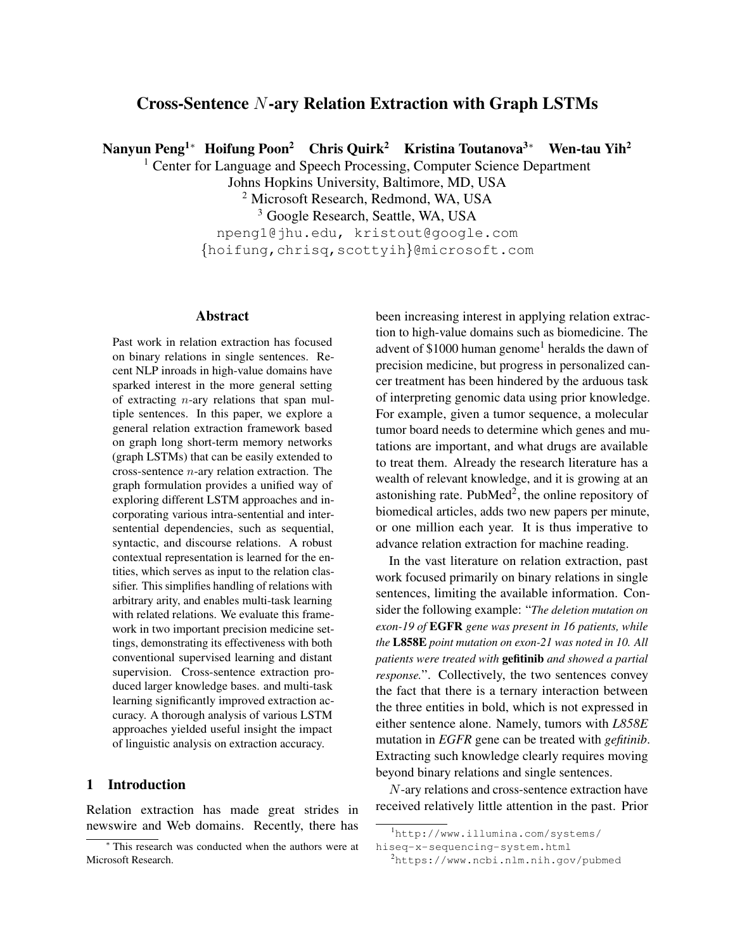# Cross-Sentence N-ary Relation Extraction with Graph LSTMs

Nanyun Peng<sup>1∗</sup> Hoifung Poon<sup>2</sup> Chris Quirk<sup>2</sup> Kristina Toutanova<sup>3∗</sup> Wen-tau Yih<sup>2</sup>

<sup>1</sup> Center for Language and Speech Processing, Computer Science Department

Johns Hopkins University, Baltimore, MD, USA

<sup>2</sup> Microsoft Research, Redmond, WA, USA

<sup>3</sup> Google Research, Seattle, WA, USA

npeng1@jhu.edu, kristout@google.com {hoifung,chrisq,scottyih}@microsoft.com

# Abstract

Past work in relation extraction has focused on binary relations in single sentences. Recent NLP inroads in high-value domains have sparked interest in the more general setting of extracting  $n$ -ary relations that span multiple sentences. In this paper, we explore a general relation extraction framework based on graph long short-term memory networks (graph LSTMs) that can be easily extended to cross-sentence  $n$ -ary relation extraction. The graph formulation provides a unified way of exploring different LSTM approaches and incorporating various intra-sentential and intersentential dependencies, such as sequential, syntactic, and discourse relations. A robust contextual representation is learned for the entities, which serves as input to the relation classifier. This simplifies handling of relations with arbitrary arity, and enables multi-task learning with related relations. We evaluate this framework in two important precision medicine settings, demonstrating its effectiveness with both conventional supervised learning and distant supervision. Cross-sentence extraction produced larger knowledge bases. and multi-task learning significantly improved extraction accuracy. A thorough analysis of various LSTM approaches yielded useful insight the impact of linguistic analysis on extraction accuracy.

# 1 Introduction

Relation extraction has made great strides in newswire and Web domains. Recently, there has been increasing interest in applying relation extraction to high-value domains such as biomedicine. The advent of  $$1000$  $$1000$  $$1000$  human genome<sup>1</sup> heralds the dawn of precision medicine, but progress in personalized cancer treatment has been hindered by the arduous task of interpreting genomic data using prior knowledge. For example, given a tumor sequence, a molecular tumor board needs to determine which genes and mutations are important, and what drugs are available to treat them. Already the research literature has a wealth of relevant knowledge, and it is growing at an astonishing rate. PubMed<sup>[2](#page-0-1)</sup>, the online repository of biomedical articles, adds two new papers per minute, or one million each year. It is thus imperative to advance relation extraction for machine reading.

In the vast literature on relation extraction, past work focused primarily on binary relations in single sentences, limiting the available information. Consider the following example: "*The deletion mutation on exon-19 of* EGFR *gene was present in 16 patients, while the* L858E *point mutation on exon-21 was noted in 10. All patients were treated with* gefitinib *and showed a partial response.*". Collectively, the two sentences convey the fact that there is a ternary interaction between the three entities in bold, which is not expressed in either sentence alone. Namely, tumors with *L858E* mutation in *EGFR* gene can be treated with *gefitinib*. Extracting such knowledge clearly requires moving beyond binary relations and single sentences.

N-ary relations and cross-sentence extraction have received relatively little attention in the past. Prior

<sup>∗</sup> This research was conducted when the authors were at Microsoft Research.

<span id="page-0-0"></span><sup>1</sup>[http://www.illumina.com/systems/](http://www.illumina.com/systems/hiseq-x-sequencing-system.html)

[hiseq-x-sequencing-system.html](http://www.illumina.com/systems/hiseq-x-sequencing-system.html)

<span id="page-0-1"></span><sup>2</sup><https://www.ncbi.nlm.nih.gov/pubmed>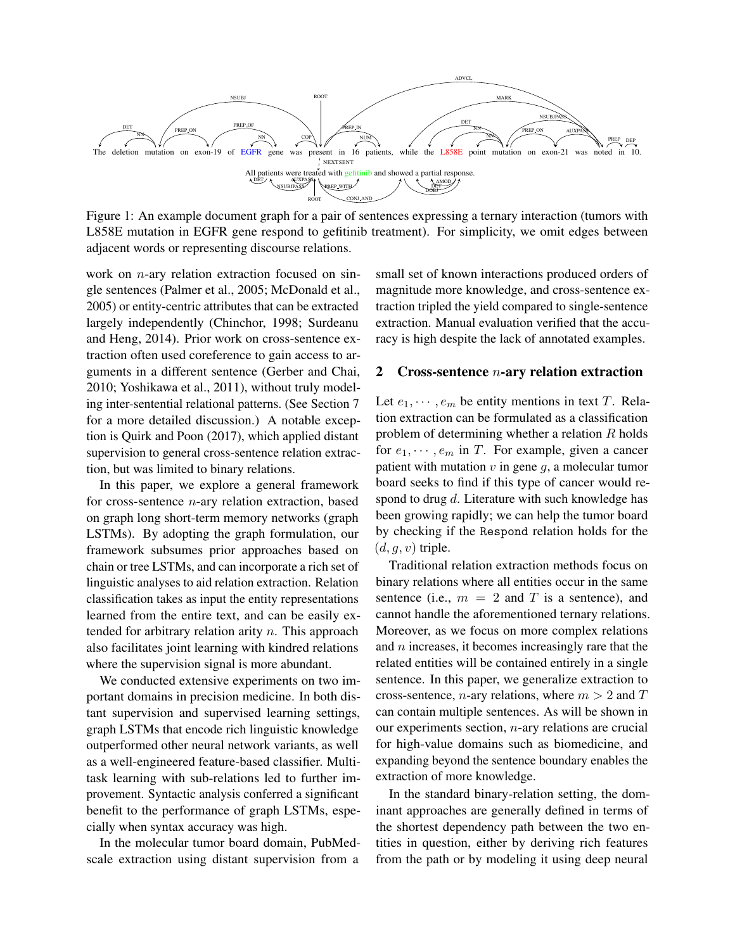<span id="page-1-0"></span>

Figure 1: An example document graph for a pair of sentences expressing a ternary interaction (tumors with L858E mutation in EGFR gene respond to gefitinib treatment). For simplicity, we omit edges between adjacent words or representing discourse relations.

work on *n*-ary relation extraction focused on single sentences [\(Palmer et al., 2005;](#page-12-0) [McDonald et al.,](#page-12-1) [2005\)](#page-12-1) or entity-centric attributes that can be extracted largely independently [\(Chinchor, 1998;](#page-11-0) [Surdeanu](#page-13-0) [and Heng, 2014\)](#page-13-0). Prior work on cross-sentence extraction often used coreference to gain access to arguments in a different sentence [\(Gerber and Chai,](#page-12-2) [2010;](#page-12-2) [Yoshikawa et al., 2011\)](#page-13-1), without truly modeling inter-sentential relational patterns. (See Section [7](#page-9-0) for a more detailed discussion.) A notable exception is [Quirk and Poon \(2017\)](#page-13-2), which applied distant supervision to general cross-sentence relation extraction, but was limited to binary relations.

In this paper, we explore a general framework for cross-sentence  $n$ -ary relation extraction, based on graph long short-term memory networks (graph LSTMs). By adopting the graph formulation, our framework subsumes prior approaches based on chain or tree LSTMs, and can incorporate a rich set of linguistic analyses to aid relation extraction. Relation classification takes as input the entity representations learned from the entire text, and can be easily extended for arbitrary relation arity  $n$ . This approach also facilitates joint learning with kindred relations where the supervision signal is more abundant.

We conducted extensive experiments on two important domains in precision medicine. In both distant supervision and supervised learning settings, graph LSTMs that encode rich linguistic knowledge outperformed other neural network variants, as well as a well-engineered feature-based classifier. Multitask learning with sub-relations led to further improvement. Syntactic analysis conferred a significant benefit to the performance of graph LSTMs, especially when syntax accuracy was high.

In the molecular tumor board domain, PubMedscale extraction using distant supervision from a

small set of known interactions produced orders of magnitude more knowledge, and cross-sentence extraction tripled the yield compared to single-sentence extraction. Manual evaluation verified that the accuracy is high despite the lack of annotated examples.

#### 2 Cross-sentence  $n$ -ary relation extraction

Let  $e_1, \dots, e_m$  be entity mentions in text T. Relation extraction can be formulated as a classification problem of determining whether a relation  $R$  holds for  $e_1, \dots, e_m$  in T. For example, given a cancer patient with mutation  $v$  in gene  $q$ , a molecular tumor board seeks to find if this type of cancer would respond to drug  $d$ . Literature with such knowledge has been growing rapidly; we can help the tumor board by checking if the Respond relation holds for the  $(d, q, v)$  triple.

Traditional relation extraction methods focus on binary relations where all entities occur in the same sentence (i.e.,  $m = 2$  and T is a sentence), and cannot handle the aforementioned ternary relations. Moreover, as we focus on more complex relations and  $n$  increases, it becomes increasingly rare that the related entities will be contained entirely in a single sentence. In this paper, we generalize extraction to cross-sentence, *n*-ary relations, where  $m > 2$  and T can contain multiple sentences. As will be shown in our experiments section, n-ary relations are crucial for high-value domains such as biomedicine, and expanding beyond the sentence boundary enables the extraction of more knowledge.

In the standard binary-relation setting, the dominant approaches are generally defined in terms of the shortest dependency path between the two entities in question, either by deriving rich features from the path or by modeling it using deep neural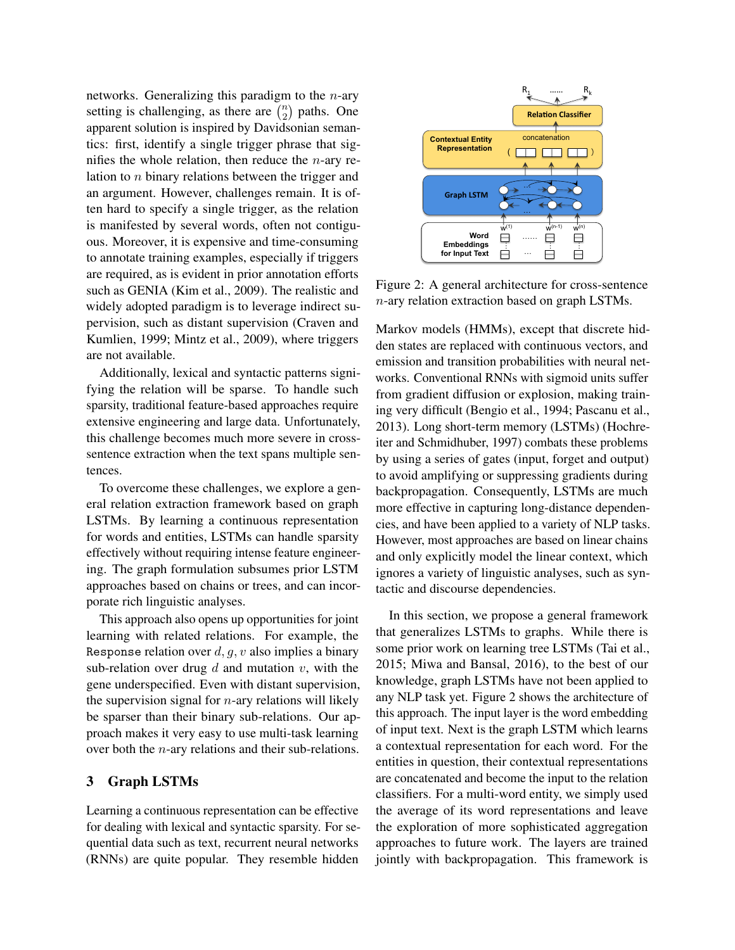networks. Generalizing this paradigm to the  $n$ -ary setting is challenging, as there are  $\binom{n}{2}$  $n \choose 2$  paths. One apparent solution is inspired by Davidsonian semantics: first, identify a single trigger phrase that signifies the whole relation, then reduce the  $n$ -ary relation to n binary relations between the trigger and an argument. However, challenges remain. It is often hard to specify a single trigger, as the relation is manifested by several words, often not contiguous. Moreover, it is expensive and time-consuming to annotate training examples, especially if triggers are required, as is evident in prior annotation efforts such as GENIA [\(Kim et al., 2009\)](#page-12-3). The realistic and widely adopted paradigm is to leverage indirect supervision, such as distant supervision [\(Craven and](#page-11-1) [Kumlien, 1999;](#page-11-1) [Mintz et al., 2009\)](#page-12-4), where triggers are not available.

Additionally, lexical and syntactic patterns signifying the relation will be sparse. To handle such sparsity, traditional feature-based approaches require extensive engineering and large data. Unfortunately, this challenge becomes much more severe in crosssentence extraction when the text spans multiple sentences.

To overcome these challenges, we explore a general relation extraction framework based on graph LSTMs. By learning a continuous representation for words and entities, LSTMs can handle sparsity effectively without requiring intense feature engineering. The graph formulation subsumes prior LSTM approaches based on chains or trees, and can incorporate rich linguistic analyses.

This approach also opens up opportunities for joint learning with related relations. For example, the Response relation over  $d, q, v$  also implies a binary sub-relation over drug  $d$  and mutation  $v$ , with the gene underspecified. Even with distant supervision, the supervision signal for  $n$ -ary relations will likely be sparser than their binary sub-relations. Our approach makes it very easy to use multi-task learning over both the n-ary relations and their sub-relations.

# 3 Graph LSTMs

Learning a continuous representation can be effective for dealing with lexical and syntactic sparsity. For sequential data such as text, recurrent neural networks (RNNs) are quite popular. They resemble hidden

<span id="page-2-0"></span>

Figure 2: A general architecture for cross-sentence n-ary relation extraction based on graph LSTMs.

Markov models (HMMs), except that discrete hidden states are replaced with continuous vectors, and emission and transition probabilities with neural networks. Conventional RNNs with sigmoid units suffer from gradient diffusion or explosion, making training very difficult [\(Bengio et al., 1994;](#page-11-2) [Pascanu et al.,](#page-12-5) [2013\)](#page-12-5). Long short-term memory (LSTMs) [\(Hochre](#page-12-6)[iter and Schmidhuber, 1997\)](#page-12-6) combats these problems by using a series of gates (input, forget and output) to avoid amplifying or suppressing gradients during backpropagation. Consequently, LSTMs are much more effective in capturing long-distance dependencies, and have been applied to a variety of NLP tasks. However, most approaches are based on linear chains and only explicitly model the linear context, which ignores a variety of linguistic analyses, such as syntactic and discourse dependencies.

In this section, we propose a general framework that generalizes LSTMs to graphs. While there is some prior work on learning tree LSTMs [\(Tai et al.,](#page-13-3) [2015;](#page-13-3) [Miwa and Bansal, 2016\)](#page-12-7), to the best of our knowledge, graph LSTMs have not been applied to any NLP task yet. Figure [2](#page-2-0) shows the architecture of this approach. The input layer is the word embedding of input text. Next is the graph LSTM which learns a contextual representation for each word. For the entities in question, their contextual representations are concatenated and become the input to the relation classifiers. For a multi-word entity, we simply used the average of its word representations and leave the exploration of more sophisticated aggregation approaches to future work. The layers are trained jointly with backpropagation. This framework is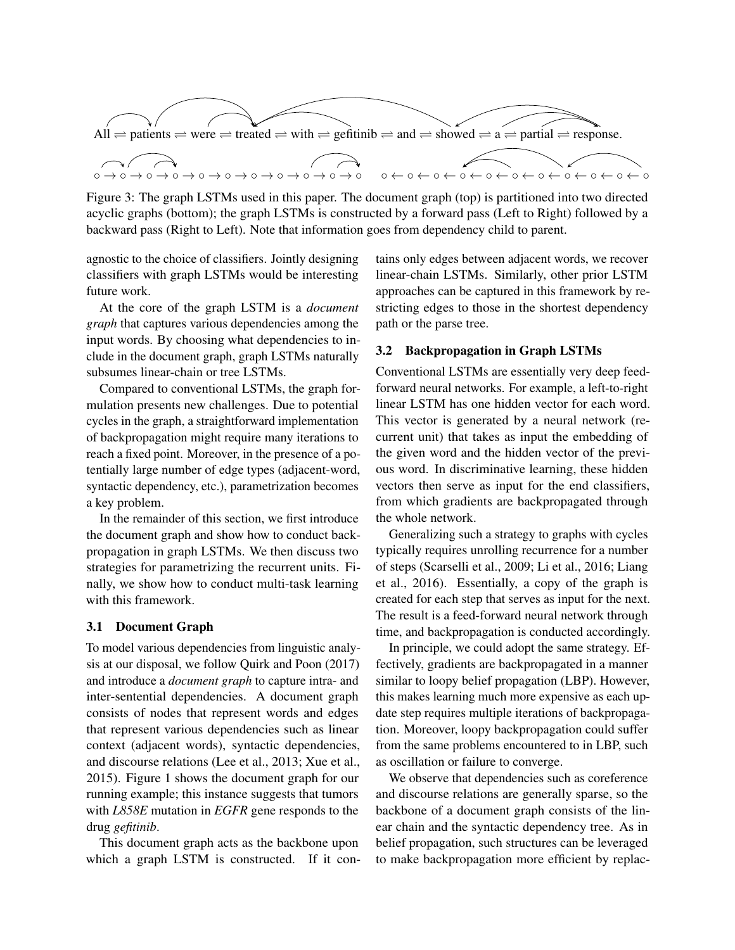<span id="page-3-0"></span>

Figure 3: The graph LSTMs used in this paper. The document graph (top) is partitioned into two directed acyclic graphs (bottom); the graph LSTMs is constructed by a forward pass (Left to Right) followed by a backward pass (Right to Left). Note that information goes from dependency child to parent.

agnostic to the choice of classifiers. Jointly designing classifiers with graph LSTMs would be interesting future work.

At the core of the graph LSTM is a *document graph* that captures various dependencies among the input words. By choosing what dependencies to include in the document graph, graph LSTMs naturally subsumes linear-chain or tree LSTMs.

Compared to conventional LSTMs, the graph formulation presents new challenges. Due to potential cycles in the graph, a straightforward implementation of backpropagation might require many iterations to reach a fixed point. Moreover, in the presence of a potentially large number of edge types (adjacent-word, syntactic dependency, etc.), parametrization becomes a key problem.

In the remainder of this section, we first introduce the document graph and show how to conduct backpropagation in graph LSTMs. We then discuss two strategies for parametrizing the recurrent units. Finally, we show how to conduct multi-task learning with this framework.

### 3.1 Document Graph

To model various dependencies from linguistic analysis at our disposal, we follow [Quirk and Poon \(2017\)](#page-13-2) and introduce a *document graph* to capture intra- and inter-sentential dependencies. A document graph consists of nodes that represent words and edges that represent various dependencies such as linear context (adjacent words), syntactic dependencies, and discourse relations [\(Lee et al., 2013;](#page-12-8) [Xue et al.,](#page-13-4) [2015\)](#page-13-4). Figure [1](#page-1-0) shows the document graph for our running example; this instance suggests that tumors with *L858E* mutation in *EGFR* gene responds to the drug *gefitinib*.

This document graph acts as the backbone upon which a graph LSTM is constructed. If it contains only edges between adjacent words, we recover linear-chain LSTMs. Similarly, other prior LSTM approaches can be captured in this framework by restricting edges to those in the shortest dependency path or the parse tree.

### 3.2 Backpropagation in Graph LSTMs

Conventional LSTMs are essentially very deep feedforward neural networks. For example, a left-to-right linear LSTM has one hidden vector for each word. This vector is generated by a neural network (recurrent unit) that takes as input the embedding of the given word and the hidden vector of the previous word. In discriminative learning, these hidden vectors then serve as input for the end classifiers, from which gradients are backpropagated through the whole network.

Generalizing such a strategy to graphs with cycles typically requires unrolling recurrence for a number of steps [\(Scarselli et al., 2009;](#page-13-5) [Li et al., 2016;](#page-12-9) [Liang](#page-12-10) [et al., 2016\)](#page-12-10). Essentially, a copy of the graph is created for each step that serves as input for the next. The result is a feed-forward neural network through time, and backpropagation is conducted accordingly.

In principle, we could adopt the same strategy. Effectively, gradients are backpropagated in a manner similar to loopy belief propagation (LBP). However, this makes learning much more expensive as each update step requires multiple iterations of backpropagation. Moreover, loopy backpropagation could suffer from the same problems encountered to in LBP, such as oscillation or failure to converge.

We observe that dependencies such as coreference and discourse relations are generally sparse, so the backbone of a document graph consists of the linear chain and the syntactic dependency tree. As in belief propagation, such structures can be leveraged to make backpropagation more efficient by replac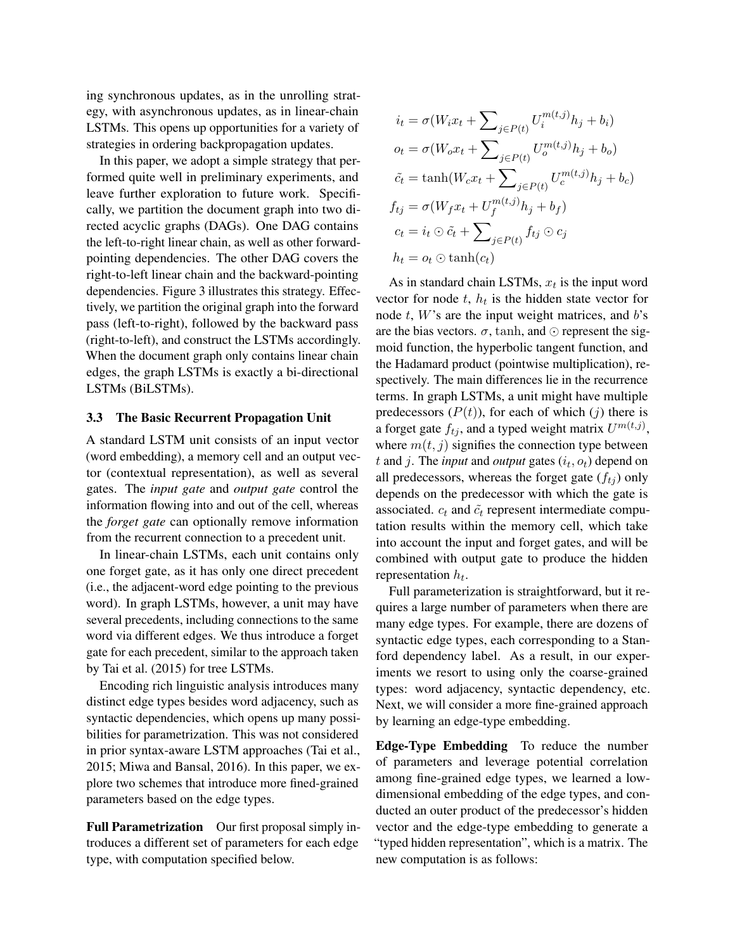ing synchronous updates, as in the unrolling strategy, with asynchronous updates, as in linear-chain LSTMs. This opens up opportunities for a variety of strategies in ordering backpropagation updates.

In this paper, we adopt a simple strategy that performed quite well in preliminary experiments, and leave further exploration to future work. Specifically, we partition the document graph into two directed acyclic graphs (DAGs). One DAG contains the left-to-right linear chain, as well as other forwardpointing dependencies. The other DAG covers the right-to-left linear chain and the backward-pointing dependencies. Figure [3](#page-3-0) illustrates this strategy. Effectively, we partition the original graph into the forward pass (left-to-right), followed by the backward pass (right-to-left), and construct the LSTMs accordingly. When the document graph only contains linear chain edges, the graph LSTMs is exactly a bi-directional LSTMs (BiLSTMs).

#### 3.3 The Basic Recurrent Propagation Unit

A standard LSTM unit consists of an input vector (word embedding), a memory cell and an output vector (contextual representation), as well as several gates. The *input gate* and *output gate* control the information flowing into and out of the cell, whereas the *forget gate* can optionally remove information from the recurrent connection to a precedent unit.

In linear-chain LSTMs, each unit contains only one forget gate, as it has only one direct precedent (i.e., the adjacent-word edge pointing to the previous word). In graph LSTMs, however, a unit may have several precedents, including connections to the same word via different edges. We thus introduce a forget gate for each precedent, similar to the approach taken by [Tai et al. \(2015\)](#page-13-3) for tree LSTMs.

Encoding rich linguistic analysis introduces many distinct edge types besides word adjacency, such as syntactic dependencies, which opens up many possibilities for parametrization. This was not considered in prior syntax-aware LSTM approaches [\(Tai et al.,](#page-13-3) [2015;](#page-13-3) [Miwa and Bansal, 2016\)](#page-12-7). In this paper, we explore two schemes that introduce more fined-grained parameters based on the edge types.

Full Parametrization Our first proposal simply introduces a different set of parameters for each edge type, with computation specified below.

$$
i_t = \sigma(W_i x_t + \sum_{j \in P(t)} U_i^{m(t,j)} h_j + b_i)
$$
  
\n
$$
o_t = \sigma(W_o x_t + \sum_{j \in P(t)} U_o^{m(t,j)} h_j + b_o)
$$
  
\n
$$
\tilde{c}_t = \tanh(W_c x_t + \sum_{j \in P(t)} U_c^{m(t,j)} h_j + b_c)
$$
  
\n
$$
f_{tj} = \sigma(W_f x_t + U_f^{m(t,j)} h_j + b_f)
$$
  
\n
$$
c_t = i_t \odot \tilde{c}_t + \sum_{j \in P(t)} f_{tj} \odot c_j
$$
  
\n
$$
h_t = o_t \odot \tanh(c_t)
$$

As in standard chain LSTMs,  $x_t$  is the input word vector for node  $t$ ,  $h_t$  is the hidden state vector for node  $t$ ,  $W$ 's are the input weight matrices, and  $b$ 's are the bias vectors.  $\sigma$ , tanh, and  $\odot$  represent the sigmoid function, the hyperbolic tangent function, and the Hadamard product (pointwise multiplication), respectively. The main differences lie in the recurrence terms. In graph LSTMs, a unit might have multiple predecessors  $(P(t))$ , for each of which  $(j)$  there is a forget gate  $f_{tj}$ , and a typed weight matrix  $U^{m(t,j)}$ , where  $m(t, j)$  signifies the connection type between  $t$  and  $j$ . The *input* and *output* gates  $(i_t, o_t)$  depend on all predecessors, whereas the forget gate  $(f_{tj})$  only depends on the predecessor with which the gate is associated.  $c_t$  and  $\tilde{c}_t$  represent intermediate computation results within the memory cell, which take into account the input and forget gates, and will be combined with output gate to produce the hidden representation  $h_t$ .

Full parameterization is straightforward, but it requires a large number of parameters when there are many edge types. For example, there are dozens of syntactic edge types, each corresponding to a Stanford dependency label. As a result, in our experiments we resort to using only the coarse-grained types: word adjacency, syntactic dependency, etc. Next, we will consider a more fine-grained approach by learning an edge-type embedding.

Edge-Type Embedding To reduce the number of parameters and leverage potential correlation among fine-grained edge types, we learned a lowdimensional embedding of the edge types, and conducted an outer product of the predecessor's hidden vector and the edge-type embedding to generate a "typed hidden representation", which is a matrix. The new computation is as follows: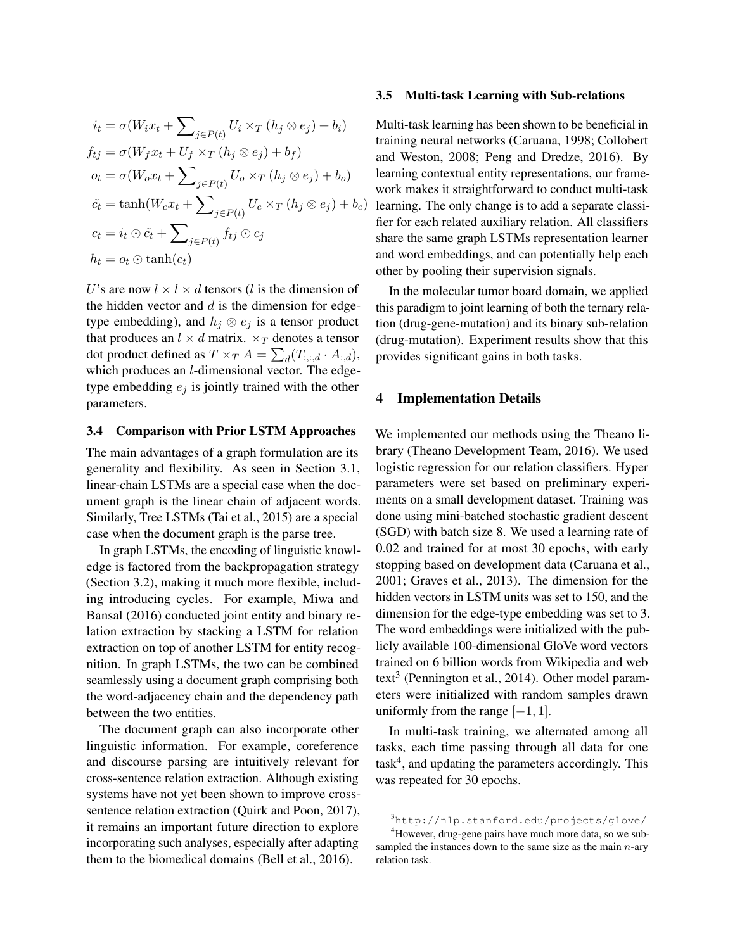$$
i_t = \sigma(W_i x_t + \sum_{j \in P(t)} U_i \times_T (h_j \otimes e_j) + b_i)
$$
  
\n
$$
f_{tj} = \sigma(W_f x_t + U_f \times_T (h_j \otimes e_j) + b_f)
$$
  
\n
$$
o_t = \sigma(W_o x_t + \sum_{j \in P(t)} U_o \times_T (h_j \otimes e_j) + b_o)
$$
  
\n
$$
\tilde{c}_t = \tanh(W_c x_t + \sum_{j \in P(t)} U_c \times_T (h_j \otimes e_j) + b_c)
$$
  
\n
$$
c_t = i_t \odot \tilde{c}_t + \sum_{j \in P(t)} f_{tj} \odot c_j
$$
  
\n
$$
h_t = o_t \odot \tanh(c_t)
$$

U's are now  $l \times l \times d$  tensors (l is the dimension of the hidden vector and  $d$  is the dimension for edgetype embedding), and  $h_j \otimes e_j$  is a tensor product that produces an  $l \times d$  matrix.  $\times_T$  denotes a tensor dot product defined as  $T \times_T A = \sum_d (T_{:,:,d} \cdot A_{:,d}),$ which produces an *l*-dimensional vector. The edgetype embedding  $e_i$  is jointly trained with the other parameters.

#### 3.4 Comparison with Prior LSTM Approaches

The main advantages of a graph formulation are its generality and flexibility. As seen in Section 3.1, linear-chain LSTMs are a special case when the document graph is the linear chain of adjacent words. Similarly, Tree LSTMs [\(Tai et al., 2015\)](#page-13-3) are a special case when the document graph is the parse tree.

In graph LSTMs, the encoding of linguistic knowledge is factored from the backpropagation strategy (Section 3.2), making it much more flexible, including introducing cycles. For example, [Miwa and](#page-12-7) [Bansal \(2016\)](#page-12-7) conducted joint entity and binary relation extraction by stacking a LSTM for relation extraction on top of another LSTM for entity recognition. In graph LSTMs, the two can be combined seamlessly using a document graph comprising both the word-adjacency chain and the dependency path between the two entities.

The document graph can also incorporate other linguistic information. For example, coreference and discourse parsing are intuitively relevant for cross-sentence relation extraction. Although existing systems have not yet been shown to improve crosssentence relation extraction [\(Quirk and Poon, 2017\)](#page-13-2), it remains an important future direction to explore incorporating such analyses, especially after adapting them to the biomedical domains [\(Bell et al., 2016\)](#page-11-3).

#### 3.5 Multi-task Learning with Sub-relations

Multi-task learning has been shown to be beneficial in training neural networks [\(Caruana, 1998;](#page-11-4) [Collobert](#page-11-5) [and Weston, 2008;](#page-11-5) [Peng and Dredze, 2016\)](#page-12-11). By learning contextual entity representations, our framework makes it straightforward to conduct multi-task learning. The only change is to add a separate classifier for each related auxiliary relation. All classifiers share the same graph LSTMs representation learner and word embeddings, and can potentially help each other by pooling their supervision signals.

In the molecular tumor board domain, we applied this paradigm to joint learning of both the ternary relation (drug-gene-mutation) and its binary sub-relation (drug-mutation). Experiment results show that this provides significant gains in both tasks.

#### 4 Implementation Details

We implemented our methods using the Theano library [\(Theano Development Team, 2016\)](#page-13-6). We used logistic regression for our relation classifiers. Hyper parameters were set based on preliminary experiments on a small development dataset. Training was done using mini-batched stochastic gradient descent (SGD) with batch size 8. We used a learning rate of 0.02 and trained for at most 30 epochs, with early stopping based on development data [\(Caruana et al.,](#page-11-6) [2001;](#page-11-6) [Graves et al., 2013\)](#page-12-12). The dimension for the hidden vectors in LSTM units was set to 150, and the dimension for the edge-type embedding was set to 3. The word embeddings were initialized with the publicly available 100-dimensional GloVe word vectors trained on 6 billion words from Wikipedia and web text<sup>[3](#page-5-0)</sup> [\(Pennington et al., 2014\)](#page-12-13). Other model parameters were initialized with random samples drawn uniformly from the range  $[-1, 1]$ .

In multi-task training, we alternated among all tasks, each time passing through all data for one task<sup>[4](#page-5-1)</sup>, and updating the parameters accordingly. This was repeated for 30 epochs.

<span id="page-5-1"></span><span id="page-5-0"></span><sup>3</sup><http://nlp.stanford.edu/projects/glove/> <sup>4</sup>However, drug-gene pairs have much more data, so we sub-

sampled the instances down to the same size as the main  $n$ -ary relation task.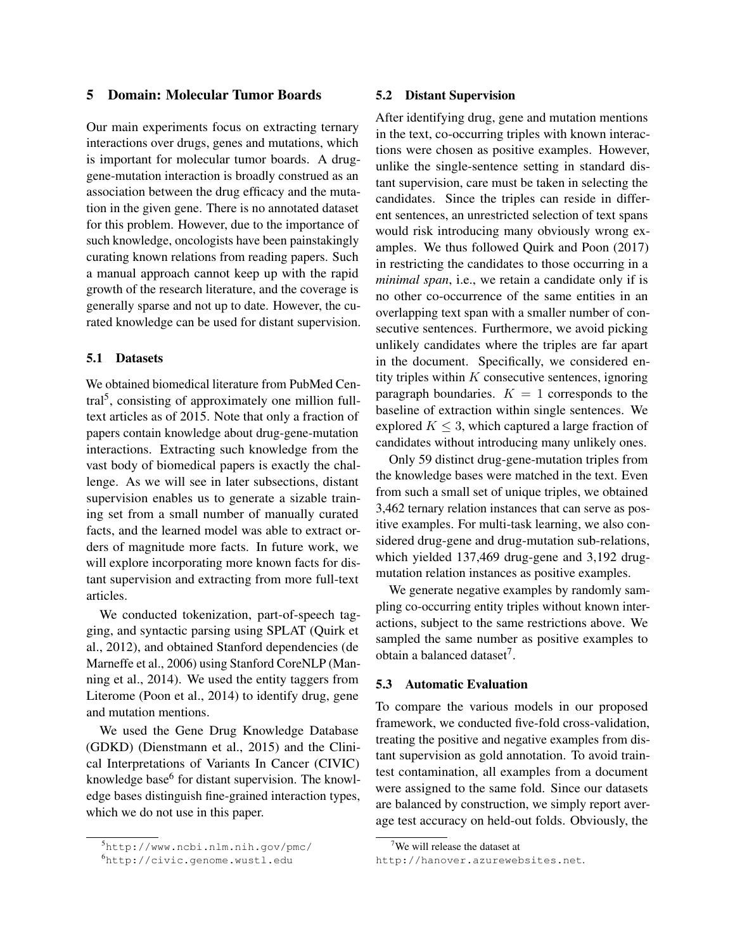# 5 Domain: Molecular Tumor Boards

Our main experiments focus on extracting ternary interactions over drugs, genes and mutations, which is important for molecular tumor boards. A druggene-mutation interaction is broadly construed as an association between the drug efficacy and the mutation in the given gene. There is no annotated dataset for this problem. However, due to the importance of such knowledge, oncologists have been painstakingly curating known relations from reading papers. Such a manual approach cannot keep up with the rapid growth of the research literature, and the coverage is generally sparse and not up to date. However, the curated knowledge can be used for distant supervision.

### 5.1 Datasets

We obtained biomedical literature from PubMed Cen-tral<sup>[5](#page-6-0)</sup>, consisting of approximately one million fulltext articles as of 2015. Note that only a fraction of papers contain knowledge about drug-gene-mutation interactions. Extracting such knowledge from the vast body of biomedical papers is exactly the challenge. As we will see in later subsections, distant supervision enables us to generate a sizable training set from a small number of manually curated facts, and the learned model was able to extract orders of magnitude more facts. In future work, we will explore incorporating more known facts for distant supervision and extracting from more full-text articles.

We conducted tokenization, part-of-speech tagging, and syntactic parsing using SPLAT [\(Quirk et](#page-13-7) [al., 2012\)](#page-13-7), and obtained Stanford dependencies [\(de](#page-11-7) [Marneffe et al., 2006\)](#page-11-7) using Stanford CoreNLP [\(Man](#page-12-14)[ning et al., 2014\)](#page-12-14). We used the entity taggers from Literome [\(Poon et al., 2014\)](#page-12-15) to identify drug, gene and mutation mentions.

We used the Gene Drug Knowledge Database (GDKD) [\(Dienstmann et al., 2015\)](#page-11-8) and the Clinical Interpretations of Variants In Cancer (CIVIC) knowledge base<sup>[6](#page-6-1)</sup> for distant supervision. The knowledge bases distinguish fine-grained interaction types, which we do not use in this paper.

### 5.2 Distant Supervision

After identifying drug, gene and mutation mentions in the text, co-occurring triples with known interactions were chosen as positive examples. However, unlike the single-sentence setting in standard distant supervision, care must be taken in selecting the candidates. Since the triples can reside in different sentences, an unrestricted selection of text spans would risk introducing many obviously wrong examples. We thus followed [Quirk and Poon \(2017\)](#page-13-2) in restricting the candidates to those occurring in a *minimal span*, i.e., we retain a candidate only if is no other co-occurrence of the same entities in an overlapping text span with a smaller number of consecutive sentences. Furthermore, we avoid picking unlikely candidates where the triples are far apart in the document. Specifically, we considered entity triples within  $K$  consecutive sentences, ignoring paragraph boundaries.  $K = 1$  corresponds to the baseline of extraction within single sentences. We explored  $K \leq 3$ , which captured a large fraction of candidates without introducing many unlikely ones.

Only 59 distinct drug-gene-mutation triples from the knowledge bases were matched in the text. Even from such a small set of unique triples, we obtained 3,462 ternary relation instances that can serve as positive examples. For multi-task learning, we also considered drug-gene and drug-mutation sub-relations, which yielded 137,469 drug-gene and 3,192 drugmutation relation instances as positive examples.

We generate negative examples by randomly sampling co-occurring entity triples without known interactions, subject to the same restrictions above. We sampled the same number as positive examples to obtain a balanced dataset<sup>[7](#page-6-2)</sup>.

### 5.3 Automatic Evaluation

To compare the various models in our proposed framework, we conducted five-fold cross-validation, treating the positive and negative examples from distant supervision as gold annotation. To avoid traintest contamination, all examples from a document were assigned to the same fold. Since our datasets are balanced by construction, we simply report average test accuracy on held-out folds. Obviously, the

<span id="page-6-0"></span><sup>5</sup><http://www.ncbi.nlm.nih.gov/pmc/>

<span id="page-6-1"></span><sup>6</sup><http://civic.genome.wustl.edu>

<span id="page-6-2"></span><sup>&</sup>lt;sup>7</sup>We will release the dataset at

<http://hanover.azurewebsites.net>.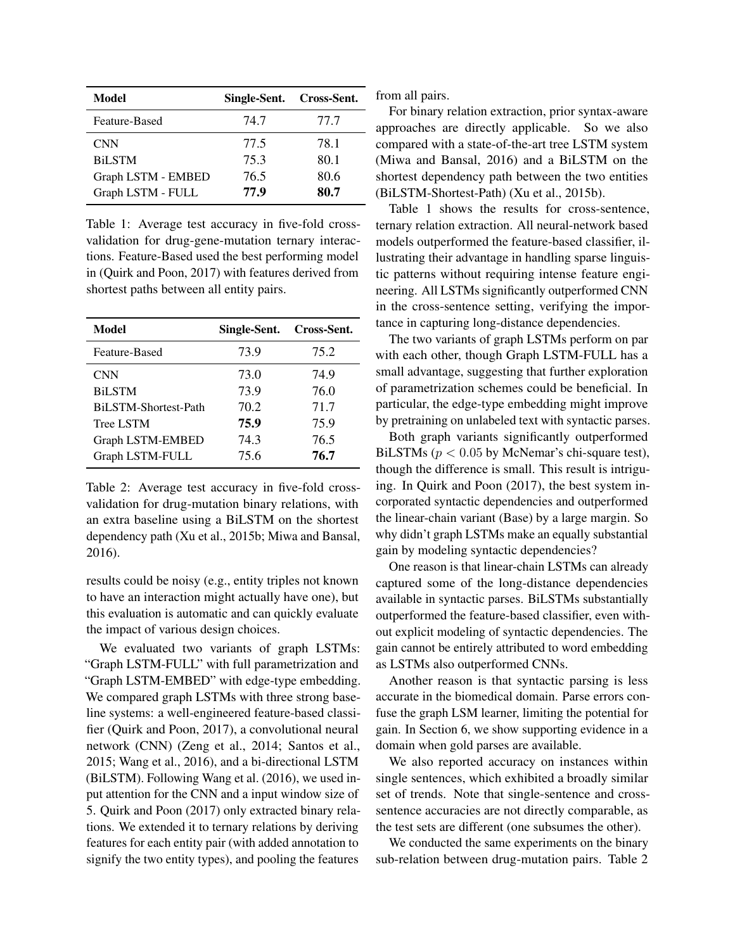<span id="page-7-0"></span>

| Model              | Single-Sent. Cross-Sent. |      |
|--------------------|--------------------------|------|
| Feature-Based      | 74.7                     | 77.7 |
| <b>CNN</b>         | 77.5                     | 78.1 |
| <b>BiLSTM</b>      | 75.3                     | 80.1 |
| Graph LSTM - EMBED | 76.5                     | 80.6 |
| Graph LSTM - FULL  | 77.9                     | 80.7 |

Table 1: Average test accuracy in five-fold crossvalidation for drug-gene-mutation ternary interactions. Feature-Based used the best performing model in [\(Quirk and Poon, 2017\)](#page-13-2) with features derived from shortest paths between all entity pairs.

<span id="page-7-1"></span>

| Model                       | Single-Sent. | Cross-Sent. |
|-----------------------------|--------------|-------------|
| Feature-Based               | 73.9         | 75.2        |
| <b>CNN</b>                  | 73.0         | 74.9        |
| <b>BiLSTM</b>               | 73.9         | 76.0        |
| <b>BiLSTM-Shortest-Path</b> | 70.2         | 71.7        |
| <b>Tree LSTM</b>            | 75.9         | 75.9        |
| Graph LSTM-EMBED            | 74.3         | 76.5        |
| Graph LSTM-FULL             | 75.6         | 76.7        |

Table 2: Average test accuracy in five-fold crossvalidation for drug-mutation binary relations, with an extra baseline using a BiLSTM on the shortest dependency path [\(Xu et al., 2015b;](#page-13-8) [Miwa and Bansal,](#page-12-7) [2016\)](#page-12-7).

results could be noisy (e.g., entity triples not known to have an interaction might actually have one), but this evaluation is automatic and can quickly evaluate the impact of various design choices.

We evaluated two variants of graph LSTMs: "Graph LSTM-FULL" with full parametrization and "Graph LSTM-EMBED" with edge-type embedding. We compared graph LSTMs with three strong baseline systems: a well-engineered feature-based classifier [\(Quirk and Poon, 2017\)](#page-13-2), a convolutional neural network (CNN) [\(Zeng et al., 2014;](#page-13-9) [Santos et al.,](#page-13-10) [2015;](#page-13-10) [Wang et al., 2016\)](#page-13-11), and a bi-directional LSTM (BiLSTM). Following [Wang et al. \(2016\)](#page-13-11), we used input attention for the CNN and a input window size of 5. [Quirk and Poon \(2017\)](#page-13-2) only extracted binary relations. We extended it to ternary relations by deriving features for each entity pair (with added annotation to signify the two entity types), and pooling the features

from all pairs.

For binary relation extraction, prior syntax-aware approaches are directly applicable. So we also compared with a state-of-the-art tree LSTM system [\(Miwa and Bansal, 2016\)](#page-12-7) and a BiLSTM on the shortest dependency path between the two entities (BiLSTM-Shortest-Path) [\(Xu et al., 2015b\)](#page-13-8).

Table [1](#page-7-0) shows the results for cross-sentence, ternary relation extraction. All neural-network based models outperformed the feature-based classifier, illustrating their advantage in handling sparse linguistic patterns without requiring intense feature engineering. All LSTMs significantly outperformed CNN in the cross-sentence setting, verifying the importance in capturing long-distance dependencies.

The two variants of graph LSTMs perform on par with each other, though Graph LSTM-FULL has a small advantage, suggesting that further exploration of parametrization schemes could be beneficial. In particular, the edge-type embedding might improve by pretraining on unlabeled text with syntactic parses.

Both graph variants significantly outperformed BiLSTMs ( $p < 0.05$  by McNemar's chi-square test), though the difference is small. This result is intriguing. In [Quirk and Poon \(2017\)](#page-13-2), the best system incorporated syntactic dependencies and outperformed the linear-chain variant (Base) by a large margin. So why didn't graph LSTMs make an equally substantial gain by modeling syntactic dependencies?

One reason is that linear-chain LSTMs can already captured some of the long-distance dependencies available in syntactic parses. BiLSTMs substantially outperformed the feature-based classifier, even without explicit modeling of syntactic dependencies. The gain cannot be entirely attributed to word embedding as LSTMs also outperformed CNNs.

Another reason is that syntactic parsing is less accurate in the biomedical domain. Parse errors confuse the graph LSM learner, limiting the potential for gain. In Section 6, we show supporting evidence in a domain when gold parses are available.

We also reported accuracy on instances within single sentences, which exhibited a broadly similar set of trends. Note that single-sentence and crosssentence accuracies are not directly comparable, as the test sets are different (one subsumes the other).

We conducted the same experiments on the binary sub-relation between drug-mutation pairs. Table [2](#page-7-1)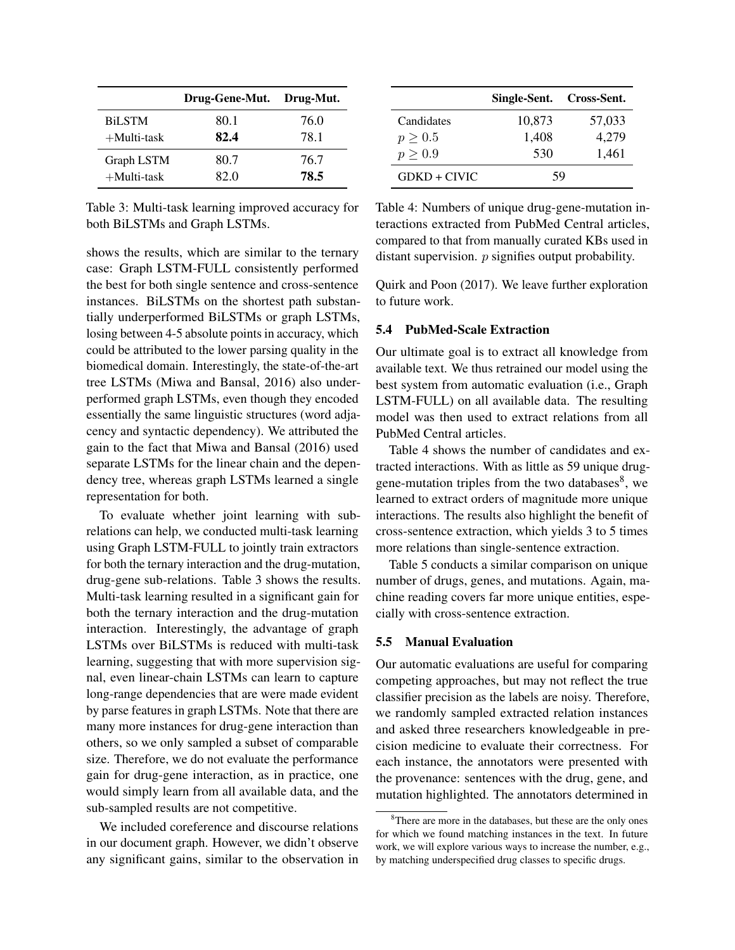<span id="page-8-0"></span>

|                | Drug-Gene-Mut. | Drug-Mut. |
|----------------|----------------|-----------|
| <b>BiLSTM</b>  | 80.1           | 76.0      |
| $+$ Multi-task | 82.4           | 78.1      |
| Graph LSTM     | 80.7           | 76.7      |
| $+$ Multi-task | 82 O           | 78.5      |

Table 3: Multi-task learning improved accuracy for both BiLSTMs and Graph LSTMs.

shows the results, which are similar to the ternary case: Graph LSTM-FULL consistently performed the best for both single sentence and cross-sentence instances. BiLSTMs on the shortest path substantially underperformed BiLSTMs or graph LSTMs, losing between 4-5 absolute points in accuracy, which could be attributed to the lower parsing quality in the biomedical domain. Interestingly, the state-of-the-art tree LSTMs [\(Miwa and Bansal, 2016\)](#page-12-7) also underperformed graph LSTMs, even though they encoded essentially the same linguistic structures (word adjacency and syntactic dependency). We attributed the gain to the fact that [Miwa and Bansal \(2016\)](#page-12-7) used separate LSTMs for the linear chain and the dependency tree, whereas graph LSTMs learned a single representation for both.

To evaluate whether joint learning with subrelations can help, we conducted multi-task learning using Graph LSTM-FULL to jointly train extractors for both the ternary interaction and the drug-mutation, drug-gene sub-relations. Table [3](#page-8-0) shows the results. Multi-task learning resulted in a significant gain for both the ternary interaction and the drug-mutation interaction. Interestingly, the advantage of graph LSTMs over BiLSTMs is reduced with multi-task learning, suggesting that with more supervision signal, even linear-chain LSTMs can learn to capture long-range dependencies that are were made evident by parse features in graph LSTMs. Note that there are many more instances for drug-gene interaction than others, so we only sampled a subset of comparable size. Therefore, we do not evaluate the performance gain for drug-gene interaction, as in practice, one would simply learn from all available data, and the sub-sampled results are not competitive.

We included coreference and discourse relations in our document graph. However, we didn't observe any significant gains, similar to the observation in

<span id="page-8-1"></span>

|                | Single-Sent. Cross-Sent. |        |
|----------------|--------------------------|--------|
| Candidates     | 10,873                   | 57,033 |
| $p \geq 0.5$   | 1,408                    | 4,279  |
| $p \geq 0.9$   | 530                      | 1,461  |
| $GDKD + CIVIC$ | 59                       |        |

Table 4: Numbers of unique drug-gene-mutation interactions extracted from PubMed Central articles, compared to that from manually curated KBs used in distant supervision. *p* signifies output probability.

[Quirk and Poon \(2017\)](#page-13-2). We leave further exploration to future work.

# 5.4 PubMed-Scale Extraction

Our ultimate goal is to extract all knowledge from available text. We thus retrained our model using the best system from automatic evaluation (i.e., Graph LSTM-FULL) on all available data. The resulting model was then used to extract relations from all PubMed Central articles.

Table [4](#page-8-1) shows the number of candidates and extracted interactions. With as little as 59 unique druggene-mutation triples from the two databases $8$ , we learned to extract orders of magnitude more unique interactions. The results also highlight the benefit of cross-sentence extraction, which yields 3 to 5 times more relations than single-sentence extraction.

Table [5](#page-9-1) conducts a similar comparison on unique number of drugs, genes, and mutations. Again, machine reading covers far more unique entities, especially with cross-sentence extraction.

#### 5.5 Manual Evaluation

Our automatic evaluations are useful for comparing competing approaches, but may not reflect the true classifier precision as the labels are noisy. Therefore, we randomly sampled extracted relation instances and asked three researchers knowledgeable in precision medicine to evaluate their correctness. For each instance, the annotators were presented with the provenance: sentences with the drug, gene, and mutation highlighted. The annotators determined in

<span id="page-8-2"></span><sup>&</sup>lt;sup>8</sup>There are more in the databases, but these are the only ones for which we found matching instances in the text. In future work, we will explore various ways to increase the number, e.g., by matching underspecified drug classes to specific drugs.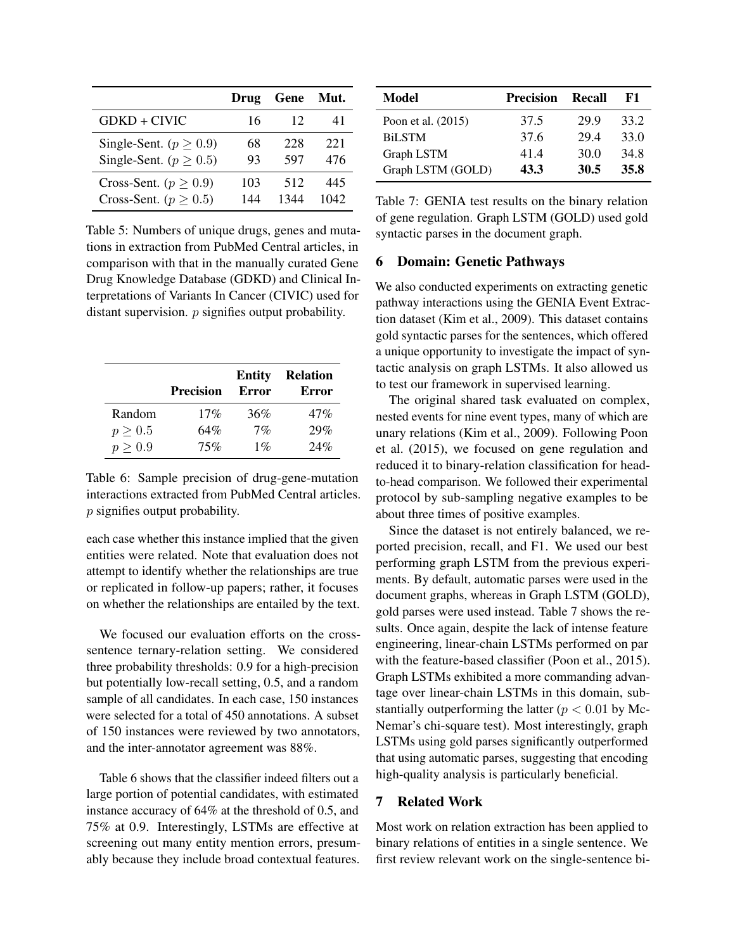<span id="page-9-1"></span>

|                              | Drug | Gene | Mut. |
|------------------------------|------|------|------|
| GDKD + CIVIC                 | 16   | 12   | 41   |
| Single-Sent. ( $p \ge 0.9$ ) | 68   | 228  | 221  |
| Single-Sent. ( $p \ge 0.5$ ) | 93   | 597  | 476  |
| Cross-Sent. ( $p \geq 0.9$ ) | 103  | 512  | 445  |
| Cross-Sent. ( $p \geq 0.5$ ) | 144  | 1344 | 1042 |

Table 5: Numbers of unique drugs, genes and mutations in extraction from PubMed Central articles, in comparison with that in the manually curated Gene Drug Knowledge Database (GDKD) and Clinical Interpretations of Variants In Cancer (CIVIC) used for distant supervision. *p* signifies output probability.

<span id="page-9-2"></span>

|              | <b>Precision</b> | <b>Entity</b><br>Error | <b>Relation</b><br>Error |
|--------------|------------------|------------------------|--------------------------|
| Random       | 17%              | 36%                    | 47%                      |
| $p \geq 0.5$ | 64%              | 7%                     | 29%                      |
| $p \geq 0.9$ | 75%              | $1\%$                  | 24%                      |

Table 6: Sample precision of drug-gene-mutation interactions extracted from PubMed Central articles. p signifies output probability.

each case whether this instance implied that the given entities were related. Note that evaluation does not attempt to identify whether the relationships are true or replicated in follow-up papers; rather, it focuses on whether the relationships are entailed by the text.

We focused our evaluation efforts on the crosssentence ternary-relation setting. We considered three probability thresholds: 0.9 for a high-precision but potentially low-recall setting, 0.5, and a random sample of all candidates. In each case, 150 instances were selected for a total of 450 annotations. A subset of 150 instances were reviewed by two annotators, and the inter-annotator agreement was 88%.

Table [6](#page-9-2) shows that the classifier indeed filters out a large portion of potential candidates, with estimated instance accuracy of 64% at the threshold of 0.5, and 75% at 0.9. Interestingly, LSTMs are effective at screening out many entity mention errors, presumably because they include broad contextual features.

<span id="page-9-3"></span>

| Model                | <b>Precision</b> | Recall | к1   |
|----------------------|------------------|--------|------|
| Poon et al. $(2015)$ | 37.5             | 29.9   | 33.2 |
| <b>BiLSTM</b>        | 37.6             | 29.4   | 33.0 |
| Graph LSTM           | 41.4             | 30.0   | 34.8 |
| Graph LSTM (GOLD)    | 43.3             | 30.5   | 35.8 |

Table 7: GENIA test results on the binary relation of gene regulation. Graph LSTM (GOLD) used gold syntactic parses in the document graph.

### 6 Domain: Genetic Pathways

We also conducted experiments on extracting genetic pathway interactions using the GENIA Event Extraction dataset [\(Kim et al., 2009\)](#page-12-3). This dataset contains gold syntactic parses for the sentences, which offered a unique opportunity to investigate the impact of syntactic analysis on graph LSTMs. It also allowed us to test our framework in supervised learning.

The original shared task evaluated on complex, nested events for nine event types, many of which are unary relations [\(Kim et al., 2009\)](#page-12-3). Following [Poon](#page-12-16) [et al. \(2015\)](#page-12-16), we focused on gene regulation and reduced it to binary-relation classification for headto-head comparison. We followed their experimental protocol by sub-sampling negative examples to be about three times of positive examples.

Since the dataset is not entirely balanced, we reported precision, recall, and F1. We used our best performing graph LSTM from the previous experiments. By default, automatic parses were used in the document graphs, whereas in Graph LSTM (GOLD), gold parses were used instead. Table [7](#page-9-3) shows the results. Once again, despite the lack of intense feature engineering, linear-chain LSTMs performed on par with the feature-based classifier [\(Poon et al., 2015\)](#page-12-16). Graph LSTMs exhibited a more commanding advantage over linear-chain LSTMs in this domain, substantially outperforming the latter ( $p < 0.01$  by Mc-Nemar's chi-square test). Most interestingly, graph LSTMs using gold parses significantly outperformed that using automatic parses, suggesting that encoding high-quality analysis is particularly beneficial.

# <span id="page-9-0"></span>7 Related Work

Most work on relation extraction has been applied to binary relations of entities in a single sentence. We first review relevant work on the single-sentence bi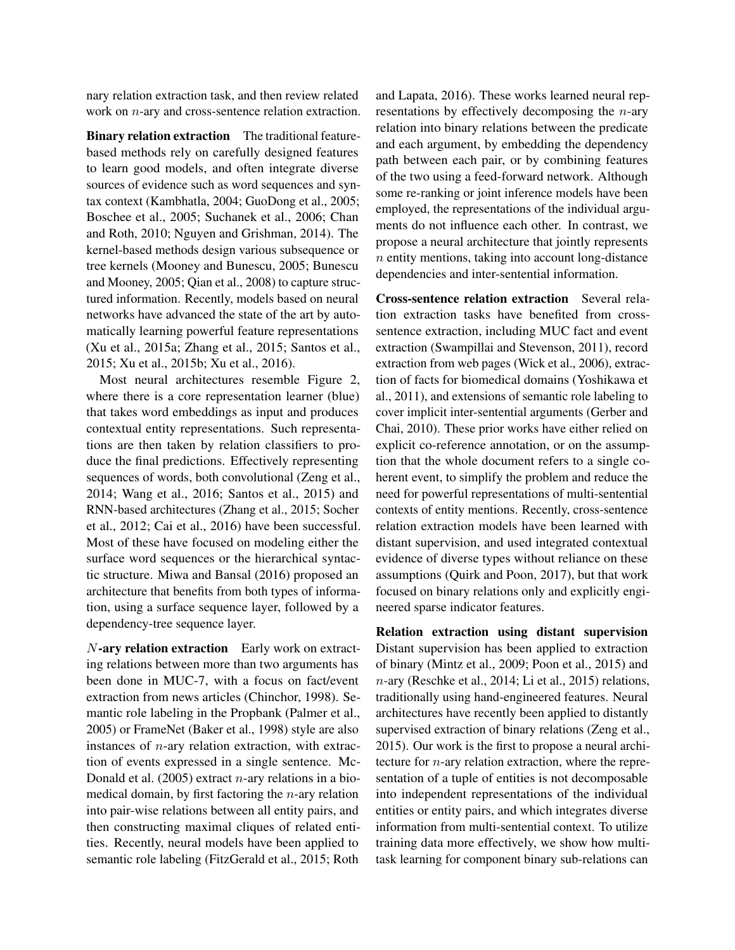nary relation extraction task, and then review related work on *n*-ary and cross-sentence relation extraction.

Binary relation extraction The traditional featurebased methods rely on carefully designed features to learn good models, and often integrate diverse sources of evidence such as word sequences and syntax context [\(Kambhatla, 2004;](#page-12-17) [GuoDong et al., 2005;](#page-12-18) [Boschee et al., 2005;](#page-11-9) [Suchanek et al., 2006;](#page-13-12) [Chan](#page-11-10) [and Roth, 2010;](#page-11-10) [Nguyen and Grishman, 2014\)](#page-12-19). The kernel-based methods design various subsequence or tree kernels [\(Mooney and Bunescu, 2005;](#page-12-20) [Bunescu](#page-11-11) [and Mooney, 2005;](#page-11-11) [Qian et al., 2008\)](#page-12-21) to capture structured information. Recently, models based on neural networks have advanced the state of the art by automatically learning powerful feature representations [\(Xu et al., 2015a;](#page-13-13) [Zhang et al., 2015;](#page-14-0) [Santos et al.,](#page-13-10) [2015;](#page-13-10) [Xu et al., 2015b;](#page-13-8) [Xu et al., 2016\)](#page-13-14).

Most neural architectures resemble Figure [2,](#page-2-0) where there is a core representation learner (blue) that takes word embeddings as input and produces contextual entity representations. Such representations are then taken by relation classifiers to produce the final predictions. Effectively representing sequences of words, both convolutional [\(Zeng et al.,](#page-13-9) [2014;](#page-13-9) [Wang et al., 2016;](#page-13-11) [Santos et al., 2015\)](#page-13-10) and RNN-based architectures [\(Zhang et al., 2015;](#page-14-0) [Socher](#page-13-15) [et al., 2012;](#page-13-15) [Cai et al., 2016\)](#page-11-12) have been successful. Most of these have focused on modeling either the surface word sequences or the hierarchical syntactic structure. [Miwa and Bansal \(2016\)](#page-12-7) proposed an architecture that benefits from both types of information, using a surface sequence layer, followed by a dependency-tree sequence layer.

N-ary relation extraction Early work on extracting relations between more than two arguments has been done in MUC-7, with a focus on fact/event extraction from news articles [\(Chinchor, 1998\)](#page-11-0). Semantic role labeling in the Propbank [\(Palmer et al.,](#page-12-0) [2005\)](#page-12-0) or FrameNet [\(Baker et al., 1998\)](#page-11-13) style are also instances of  $n$ -ary relation extraction, with extraction of events expressed in a single sentence. [Mc-](#page-12-1)Donald et al.  $(2005)$  extract *n*-ary relations in a biomedical domain, by first factoring the  $n$ -ary relation into pair-wise relations between all entity pairs, and then constructing maximal cliques of related entities. Recently, neural models have been applied to semantic role labeling [\(FitzGerald et al., 2015;](#page-12-22) [Roth](#page-13-16)

[and Lapata, 2016\)](#page-13-16). These works learned neural representations by effectively decomposing the  $n$ -ary relation into binary relations between the predicate and each argument, by embedding the dependency path between each pair, or by combining features of the two using a feed-forward network. Although some re-ranking or joint inference models have been employed, the representations of the individual arguments do not influence each other. In contrast, we propose a neural architecture that jointly represents n entity mentions, taking into account long-distance dependencies and inter-sentential information.

Cross-sentence relation extraction Several relation extraction tasks have benefited from crosssentence extraction, including MUC fact and event extraction [\(Swampillai and Stevenson, 2011\)](#page-13-17), record extraction from web pages [\(Wick et al., 2006\)](#page-13-18), extraction of facts for biomedical domains [\(Yoshikawa et](#page-13-1) [al., 2011\)](#page-13-1), and extensions of semantic role labeling to cover implicit inter-sentential arguments [\(Gerber and](#page-12-2) [Chai, 2010\)](#page-12-2). These prior works have either relied on explicit co-reference annotation, or on the assumption that the whole document refers to a single coherent event, to simplify the problem and reduce the need for powerful representations of multi-sentential contexts of entity mentions. Recently, cross-sentence relation extraction models have been learned with distant supervision, and used integrated contextual evidence of diverse types without reliance on these assumptions [\(Quirk and Poon, 2017\)](#page-13-2), but that work focused on binary relations only and explicitly engineered sparse indicator features.

Relation extraction using distant supervision Distant supervision has been applied to extraction of binary [\(Mintz et al., 2009;](#page-12-4) [Poon et al., 2015\)](#page-12-16) and  $n$ -ary [\(Reschke et al., 2014;](#page-13-19) [Li et al., 2015\)](#page-12-23) relations, traditionally using hand-engineered features. Neural architectures have recently been applied to distantly supervised extraction of binary relations [\(Zeng et al.,](#page-13-20) [2015\)](#page-13-20). Our work is the first to propose a neural architecture for n-ary relation extraction, where the representation of a tuple of entities is not decomposable into independent representations of the individual entities or entity pairs, and which integrates diverse information from multi-sentential context. To utilize training data more effectively, we show how multitask learning for component binary sub-relations can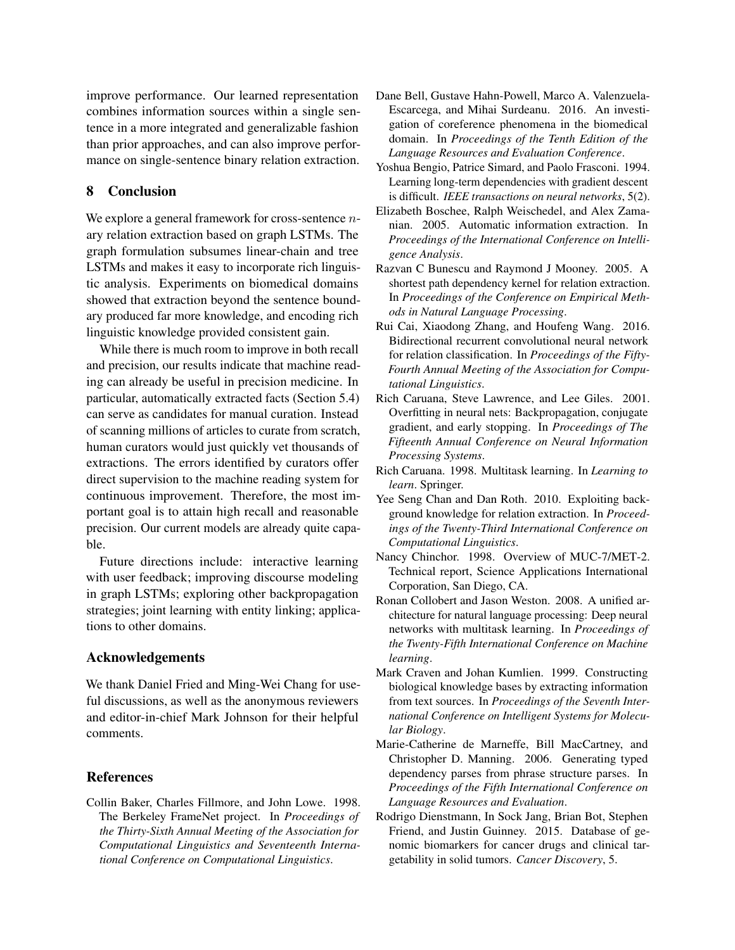improve performance. Our learned representation combines information sources within a single sentence in a more integrated and generalizable fashion than prior approaches, and can also improve performance on single-sentence binary relation extraction.

# 8 Conclusion

We explore a general framework for cross-sentence *n*ary relation extraction based on graph LSTMs. The graph formulation subsumes linear-chain and tree LSTMs and makes it easy to incorporate rich linguistic analysis. Experiments on biomedical domains showed that extraction beyond the sentence boundary produced far more knowledge, and encoding rich linguistic knowledge provided consistent gain.

While there is much room to improve in both recall and precision, our results indicate that machine reading can already be useful in precision medicine. In particular, automatically extracted facts (Section 5.4) can serve as candidates for manual curation. Instead of scanning millions of articles to curate from scratch, human curators would just quickly vet thousands of extractions. The errors identified by curators offer direct supervision to the machine reading system for continuous improvement. Therefore, the most important goal is to attain high recall and reasonable precision. Our current models are already quite capable.

Future directions include: interactive learning with user feedback; improving discourse modeling in graph LSTMs; exploring other backpropagation strategies; joint learning with entity linking; applications to other domains.

# Acknowledgements

We thank Daniel Fried and Ming-Wei Chang for useful discussions, as well as the anonymous reviewers and editor-in-chief Mark Johnson for their helpful comments.

# **References**

<span id="page-11-13"></span>Collin Baker, Charles Fillmore, and John Lowe. 1998. The Berkeley FrameNet project. In *Proceedings of the Thirty-Sixth Annual Meeting of the Association for Computational Linguistics and Seventeenth International Conference on Computational Linguistics*.

- <span id="page-11-3"></span>Dane Bell, Gustave Hahn-Powell, Marco A. Valenzuela-Escarcega, and Mihai Surdeanu. 2016. An investigation of coreference phenomena in the biomedical domain. In *Proceedings of the Tenth Edition of the Language Resources and Evaluation Conference*.
- <span id="page-11-2"></span>Yoshua Bengio, Patrice Simard, and Paolo Frasconi. 1994. Learning long-term dependencies with gradient descent is difficult. *IEEE transactions on neural networks*, 5(2).
- <span id="page-11-9"></span>Elizabeth Boschee, Ralph Weischedel, and Alex Zamanian. 2005. Automatic information extraction. In *Proceedings of the International Conference on Intelligence Analysis*.
- <span id="page-11-11"></span>Razvan C Bunescu and Raymond J Mooney. 2005. A shortest path dependency kernel for relation extraction. In *Proceedings of the Conference on Empirical Methods in Natural Language Processing*.
- <span id="page-11-12"></span>Rui Cai, Xiaodong Zhang, and Houfeng Wang. 2016. Bidirectional recurrent convolutional neural network for relation classification. In *Proceedings of the Fifty-Fourth Annual Meeting of the Association for Computational Linguistics*.
- <span id="page-11-6"></span>Rich Caruana, Steve Lawrence, and Lee Giles. 2001. Overfitting in neural nets: Backpropagation, conjugate gradient, and early stopping. In *Proceedings of The Fifteenth Annual Conference on Neural Information Processing Systems*.
- <span id="page-11-4"></span>Rich Caruana. 1998. Multitask learning. In *Learning to learn*. Springer.
- <span id="page-11-10"></span>Yee Seng Chan and Dan Roth. 2010. Exploiting background knowledge for relation extraction. In *Proceedings of the Twenty-Third International Conference on Computational Linguistics*.
- <span id="page-11-0"></span>Nancy Chinchor. 1998. Overview of MUC-7/MET-2. Technical report, Science Applications International Corporation, San Diego, CA.
- <span id="page-11-5"></span>Ronan Collobert and Jason Weston. 2008. A unified architecture for natural language processing: Deep neural networks with multitask learning. In *Proceedings of the Twenty-Fifth International Conference on Machine learning*.
- <span id="page-11-1"></span>Mark Craven and Johan Kumlien. 1999. Constructing biological knowledge bases by extracting information from text sources. In *Proceedings of the Seventh International Conference on Intelligent Systems for Molecular Biology*.
- <span id="page-11-7"></span>Marie-Catherine de Marneffe, Bill MacCartney, and Christopher D. Manning. 2006. Generating typed dependency parses from phrase structure parses. In *Proceedings of the Fifth International Conference on Language Resources and Evaluation*.
- <span id="page-11-8"></span>Rodrigo Dienstmann, In Sock Jang, Brian Bot, Stephen Friend, and Justin Guinney. 2015. Database of genomic biomarkers for cancer drugs and clinical targetability in solid tumors. *Cancer Discovery*, 5.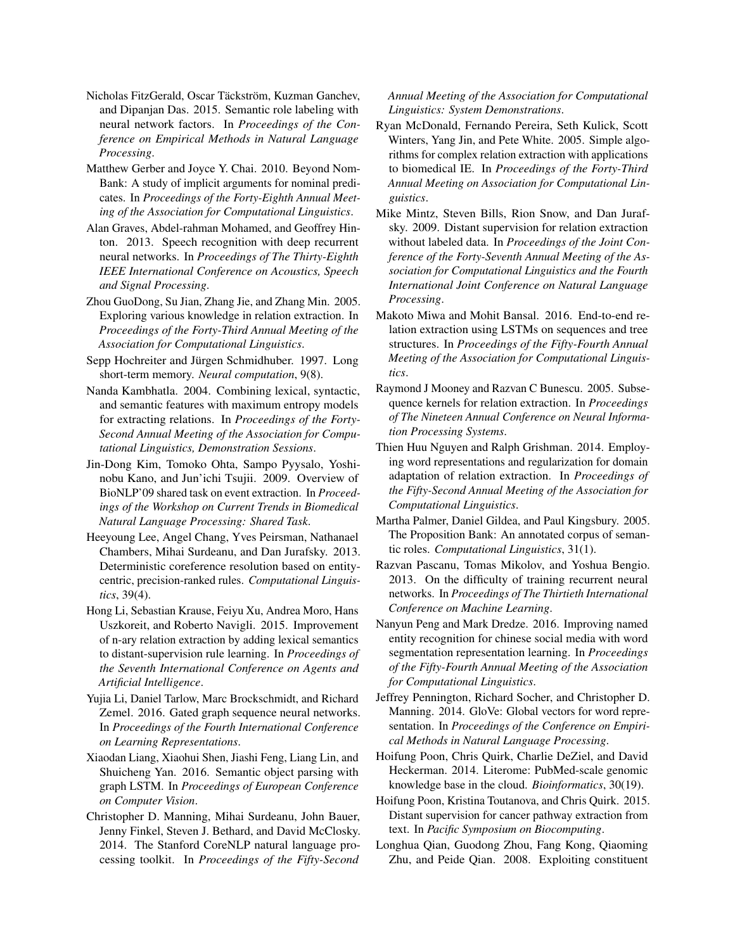- <span id="page-12-22"></span>Nicholas FitzGerald, Oscar Täckström, Kuzman Ganchev, and Dipanjan Das. 2015. Semantic role labeling with neural network factors. In *Proceedings of the Conference on Empirical Methods in Natural Language Processing*.
- <span id="page-12-2"></span>Matthew Gerber and Joyce Y. Chai. 2010. Beyond Nom-Bank: A study of implicit arguments for nominal predicates. In *Proceedings of the Forty-Eighth Annual Meeting of the Association for Computational Linguistics*.
- <span id="page-12-12"></span>Alan Graves, Abdel-rahman Mohamed, and Geoffrey Hinton. 2013. Speech recognition with deep recurrent neural networks. In *Proceedings of The Thirty-Eighth IEEE International Conference on Acoustics, Speech and Signal Processing*.
- <span id="page-12-18"></span>Zhou GuoDong, Su Jian, Zhang Jie, and Zhang Min. 2005. Exploring various knowledge in relation extraction. In *Proceedings of the Forty-Third Annual Meeting of the Association for Computational Linguistics*.
- <span id="page-12-6"></span>Sepp Hochreiter and Jürgen Schmidhuber. 1997. Long short-term memory. *Neural computation*, 9(8).
- <span id="page-12-17"></span>Nanda Kambhatla. 2004. Combining lexical, syntactic, and semantic features with maximum entropy models for extracting relations. In *Proceedings of the Forty-Second Annual Meeting of the Association for Computational Linguistics, Demonstration Sessions*.
- <span id="page-12-3"></span>Jin-Dong Kim, Tomoko Ohta, Sampo Pyysalo, Yoshinobu Kano, and Jun'ichi Tsujii. 2009. Overview of BioNLP'09 shared task on event extraction. In *Proceedings of the Workshop on Current Trends in Biomedical Natural Language Processing: Shared Task*.
- <span id="page-12-8"></span>Heeyoung Lee, Angel Chang, Yves Peirsman, Nathanael Chambers, Mihai Surdeanu, and Dan Jurafsky. 2013. Deterministic coreference resolution based on entitycentric, precision-ranked rules. *Computational Linguistics*, 39(4).
- <span id="page-12-23"></span>Hong Li, Sebastian Krause, Feiyu Xu, Andrea Moro, Hans Uszkoreit, and Roberto Navigli. 2015. Improvement of n-ary relation extraction by adding lexical semantics to distant-supervision rule learning. In *Proceedings of the Seventh International Conference on Agents and Artificial Intelligence*.
- <span id="page-12-9"></span>Yujia Li, Daniel Tarlow, Marc Brockschmidt, and Richard Zemel. 2016. Gated graph sequence neural networks. In *Proceedings of the Fourth International Conference on Learning Representations*.
- <span id="page-12-10"></span>Xiaodan Liang, Xiaohui Shen, Jiashi Feng, Liang Lin, and Shuicheng Yan. 2016. Semantic object parsing with graph LSTM. In *Proceedings of European Conference on Computer Vision*.
- <span id="page-12-14"></span>Christopher D. Manning, Mihai Surdeanu, John Bauer, Jenny Finkel, Steven J. Bethard, and David McClosky. 2014. The Stanford CoreNLP natural language processing toolkit. In *Proceedings of the Fifty-Second*

### *Annual Meeting of the Association for Computational Linguistics: System Demonstrations*.

- <span id="page-12-1"></span>Ryan McDonald, Fernando Pereira, Seth Kulick, Scott Winters, Yang Jin, and Pete White. 2005. Simple algorithms for complex relation extraction with applications to biomedical IE. In *Proceedings of the Forty-Third Annual Meeting on Association for Computational Linguistics*.
- <span id="page-12-4"></span>Mike Mintz, Steven Bills, Rion Snow, and Dan Jurafsky. 2009. Distant supervision for relation extraction without labeled data. In *Proceedings of the Joint Conference of the Forty-Seventh Annual Meeting of the Association for Computational Linguistics and the Fourth International Joint Conference on Natural Language Processing*.
- <span id="page-12-7"></span>Makoto Miwa and Mohit Bansal. 2016. End-to-end relation extraction using LSTMs on sequences and tree structures. In *Proceedings of the Fifty-Fourth Annual Meeting of the Association for Computational Linguistics*.
- <span id="page-12-20"></span>Raymond J Mooney and Razvan C Bunescu. 2005. Subsequence kernels for relation extraction. In *Proceedings of The Nineteen Annual Conference on Neural Information Processing Systems*.
- <span id="page-12-19"></span>Thien Huu Nguyen and Ralph Grishman. 2014. Employing word representations and regularization for domain adaptation of relation extraction. In *Proceedings of the Fifty-Second Annual Meeting of the Association for Computational Linguistics*.
- <span id="page-12-0"></span>Martha Palmer, Daniel Gildea, and Paul Kingsbury. 2005. The Proposition Bank: An annotated corpus of semantic roles. *Computational Linguistics*, 31(1).
- <span id="page-12-5"></span>Razvan Pascanu, Tomas Mikolov, and Yoshua Bengio. 2013. On the difficulty of training recurrent neural networks. In *Proceedings of The Thirtieth International Conference on Machine Learning*.
- <span id="page-12-11"></span>Nanyun Peng and Mark Dredze. 2016. Improving named entity recognition for chinese social media with word segmentation representation learning. In *Proceedings of the Fifty-Fourth Annual Meeting of the Association for Computational Linguistics*.
- <span id="page-12-13"></span>Jeffrey Pennington, Richard Socher, and Christopher D. Manning. 2014. GloVe: Global vectors for word representation. In *Proceedings of the Conference on Empirical Methods in Natural Language Processing*.
- <span id="page-12-15"></span>Hoifung Poon, Chris Quirk, Charlie DeZiel, and David Heckerman. 2014. Literome: PubMed-scale genomic knowledge base in the cloud. *Bioinformatics*, 30(19).
- <span id="page-12-16"></span>Hoifung Poon, Kristina Toutanova, and Chris Quirk. 2015. Distant supervision for cancer pathway extraction from text. In *Pacific Symposium on Biocomputing*.
- <span id="page-12-21"></span>Longhua Qian, Guodong Zhou, Fang Kong, Qiaoming Zhu, and Peide Qian. 2008. Exploiting constituent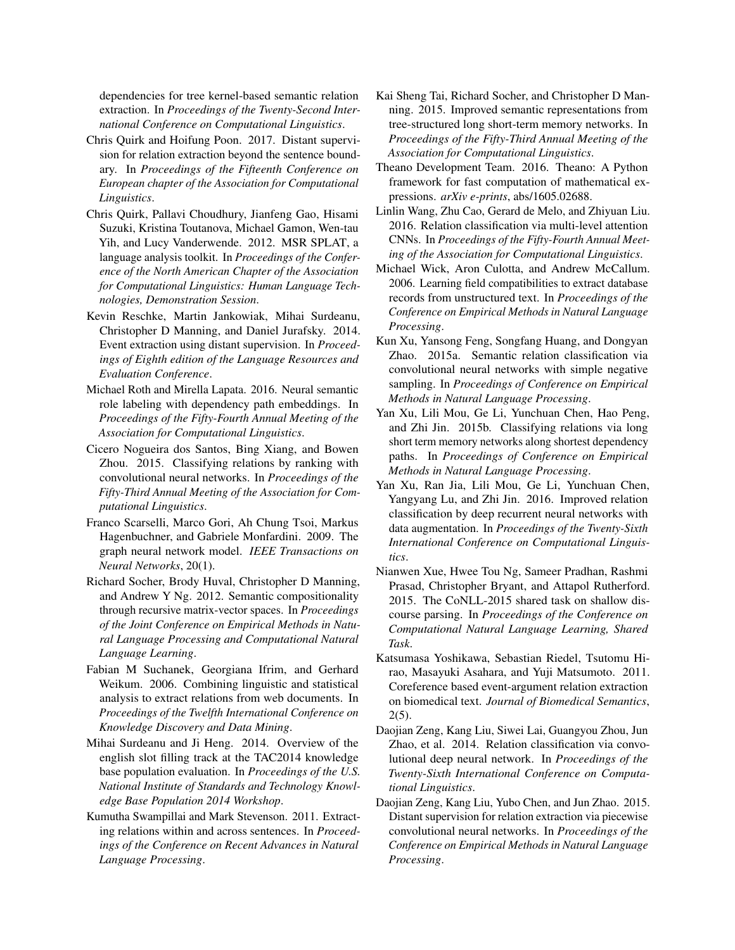dependencies for tree kernel-based semantic relation extraction. In *Proceedings of the Twenty-Second International Conference on Computational Linguistics*.

- <span id="page-13-2"></span>Chris Quirk and Hoifung Poon. 2017. Distant supervision for relation extraction beyond the sentence boundary. In *Proceedings of the Fifteenth Conference on European chapter of the Association for Computational Linguistics*.
- <span id="page-13-7"></span>Chris Quirk, Pallavi Choudhury, Jianfeng Gao, Hisami Suzuki, Kristina Toutanova, Michael Gamon, Wen-tau Yih, and Lucy Vanderwende. 2012. MSR SPLAT, a language analysis toolkit. In *Proceedings of the Conference of the North American Chapter of the Association for Computational Linguistics: Human Language Technologies, Demonstration Session*.
- <span id="page-13-19"></span>Kevin Reschke, Martin Jankowiak, Mihai Surdeanu, Christopher D Manning, and Daniel Jurafsky. 2014. Event extraction using distant supervision. In *Proceedings of Eighth edition of the Language Resources and Evaluation Conference*.
- <span id="page-13-16"></span>Michael Roth and Mirella Lapata. 2016. Neural semantic role labeling with dependency path embeddings. In *Proceedings of the Fifty-Fourth Annual Meeting of the Association for Computational Linguistics*.
- <span id="page-13-10"></span>Cicero Nogueira dos Santos, Bing Xiang, and Bowen Zhou. 2015. Classifying relations by ranking with convolutional neural networks. In *Proceedings of the Fifty-Third Annual Meeting of the Association for Computational Linguistics*.
- <span id="page-13-5"></span>Franco Scarselli, Marco Gori, Ah Chung Tsoi, Markus Hagenbuchner, and Gabriele Monfardini. 2009. The graph neural network model. *IEEE Transactions on Neural Networks*, 20(1).
- <span id="page-13-15"></span>Richard Socher, Brody Huval, Christopher D Manning, and Andrew Y Ng. 2012. Semantic compositionality through recursive matrix-vector spaces. In *Proceedings of the Joint Conference on Empirical Methods in Natural Language Processing and Computational Natural Language Learning*.
- <span id="page-13-12"></span>Fabian M Suchanek, Georgiana Ifrim, and Gerhard Weikum. 2006. Combining linguistic and statistical analysis to extract relations from web documents. In *Proceedings of the Twelfth International Conference on Knowledge Discovery and Data Mining*.
- <span id="page-13-0"></span>Mihai Surdeanu and Ji Heng. 2014. Overview of the english slot filling track at the TAC2014 knowledge base population evaluation. In *Proceedings of the U.S. National Institute of Standards and Technology Knowledge Base Population 2014 Workshop*.
- <span id="page-13-17"></span>Kumutha Swampillai and Mark Stevenson. 2011. Extracting relations within and across sentences. In *Proceedings of the Conference on Recent Advances in Natural Language Processing*.
- <span id="page-13-3"></span>Kai Sheng Tai, Richard Socher, and Christopher D Manning. 2015. Improved semantic representations from tree-structured long short-term memory networks. In *Proceedings of the Fifty-Third Annual Meeting of the Association for Computational Linguistics*.
- <span id="page-13-6"></span>Theano Development Team. 2016. Theano: A Python framework for fast computation of mathematical expressions. *arXiv e-prints*, abs/1605.02688.
- <span id="page-13-11"></span>Linlin Wang, Zhu Cao, Gerard de Melo, and Zhiyuan Liu. 2016. Relation classification via multi-level attention CNNs. In *Proceedings of the Fifty-Fourth Annual Meeting of the Association for Computational Linguistics*.
- <span id="page-13-18"></span>Michael Wick, Aron Culotta, and Andrew McCallum. 2006. Learning field compatibilities to extract database records from unstructured text. In *Proceedings of the Conference on Empirical Methods in Natural Language Processing*.
- <span id="page-13-13"></span>Kun Xu, Yansong Feng, Songfang Huang, and Dongyan Zhao. 2015a. Semantic relation classification via convolutional neural networks with simple negative sampling. In *Proceedings of Conference on Empirical Methods in Natural Language Processing*.
- <span id="page-13-8"></span>Yan Xu, Lili Mou, Ge Li, Yunchuan Chen, Hao Peng, and Zhi Jin. 2015b. Classifying relations via long short term memory networks along shortest dependency paths. In *Proceedings of Conference on Empirical Methods in Natural Language Processing*.
- <span id="page-13-14"></span>Yan Xu, Ran Jia, Lili Mou, Ge Li, Yunchuan Chen, Yangyang Lu, and Zhi Jin. 2016. Improved relation classification by deep recurrent neural networks with data augmentation. In *Proceedings of the Twenty-Sixth International Conference on Computational Linguistics*.
- <span id="page-13-4"></span>Nianwen Xue, Hwee Tou Ng, Sameer Pradhan, Rashmi Prasad, Christopher Bryant, and Attapol Rutherford. 2015. The CoNLL-2015 shared task on shallow discourse parsing. In *Proceedings of the Conference on Computational Natural Language Learning, Shared Task*.
- <span id="page-13-1"></span>Katsumasa Yoshikawa, Sebastian Riedel, Tsutomu Hirao, Masayuki Asahara, and Yuji Matsumoto. 2011. Coreference based event-argument relation extraction on biomedical text. *Journal of Biomedical Semantics*, 2(5).
- <span id="page-13-9"></span>Daojian Zeng, Kang Liu, Siwei Lai, Guangyou Zhou, Jun Zhao, et al. 2014. Relation classification via convolutional deep neural network. In *Proceedings of the Twenty-Sixth International Conference on Computational Linguistics*.
- <span id="page-13-20"></span>Daojian Zeng, Kang Liu, Yubo Chen, and Jun Zhao. 2015. Distant supervision for relation extraction via piecewise convolutional neural networks. In *Proceedings of the Conference on Empirical Methods in Natural Language Processing*.